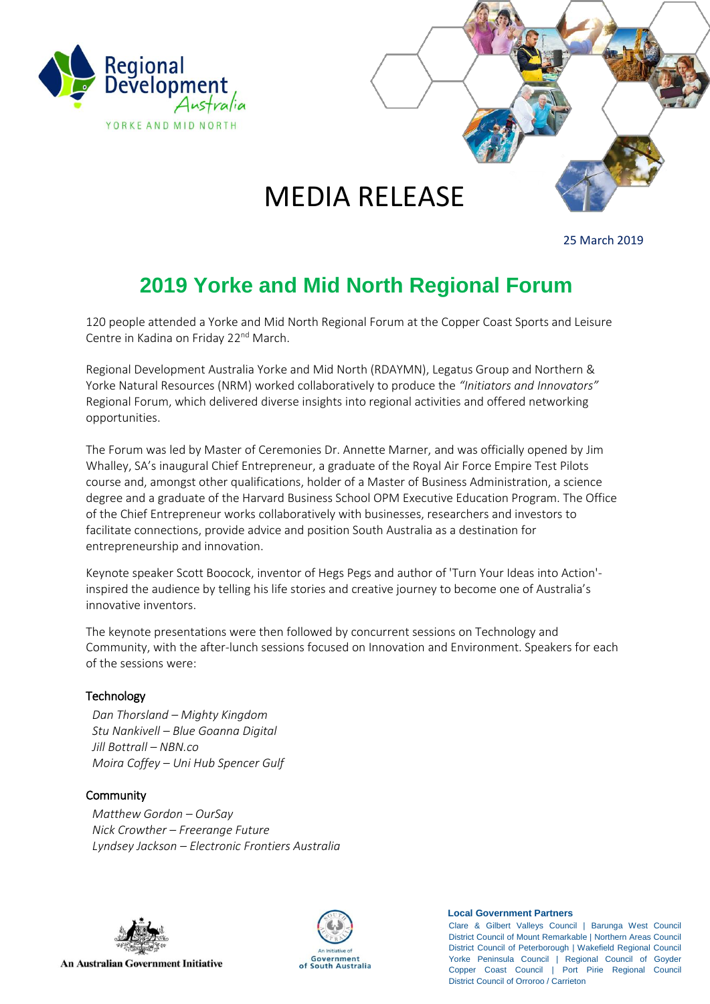

# MEDIA RELEASE

25 March 2019

# **2019 Yorke and Mid North Regional Forum**

120 people attended a Yorke and Mid North Regional Forum at the Copper Coast Sports and Leisure Centre in Kadina on Friday 22<sup>nd</sup> March.

Regional Development Australia Yorke and Mid North (RDAYMN), Legatus Group and Northern & Yorke Natural Resources (NRM) worked collaboratively to produce the *"Initiators and Innovators"* Regional Forum, which delivered diverse insights into regional activities and offered networking opportunities.

The Forum was led by Master of Ceremonies Dr. Annette Marner, and was officially opened by Jim Whalley, SA's inaugural Chief Entrepreneur, a graduate of the Royal Air Force Empire Test Pilots course and, amongst other qualifications, holder of a Master of Business Administration, a science degree and a graduate of the Harvard Business School OPM Executive Education Program. The Office of the Chief Entrepreneur works collaboratively with businesses, researchers and investors to facilitate connections, provide advice and position South Australia as a destination for entrepreneurship and innovation.

Keynote speaker Scott Boocock, inventor of Hegs Pegs and author of 'Turn Your Ideas into Action' inspired the audience by telling his life stories and creative journey to become one of Australia's innovative inventors.

The keynote presentations were then followed by concurrent sessions on Technology and Community, with the after-lunch sessions focused on Innovation and Environment. Speakers for each of the sessions were:

#### **Technology**

*Dan Thorsland – Mighty Kingdom Stu Nankivell – Blue Goanna Digital Jill Bottrall – NBN.co Moira Coffey – Uni Hub Spencer Gulf* 

#### **Community**

*Matthew Gordon – OurSay Nick Crowther – Freerange Future Lyndsey Jackson – Electronic Frontiers Australia* 



**An Australian Government Initiative** 



#### **Local Government Partners**

Clare & Gilbert Valleys Council | Barunga West Council District Council of Mount Remarkable | Northern Areas Council District Council of Peterborough | Wakefield Regional Council Yorke Peninsula Council | Regional Council of Goyder Copper Coast Council | Port Pirie Regional Council District Council of Orroroo / Carrieton